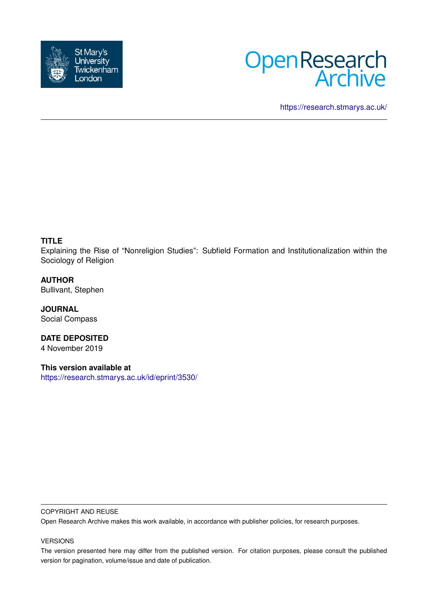



<https://research.stmarys.ac.uk/>

## **TITLE**

Explaining the Rise of "Nonreligion Studies": Subfield Formation and Institutionalization within the Sociology of Religion

**AUTHOR** Bullivant, Stephen

**JOURNAL** Social Compass

**DATE DEPOSITED** 4 November 2019

**This version available at** <https://research.stmarys.ac.uk/id/eprint/3530/>

#### COPYRIGHT AND REUSE

Open Research Archive makes this work available, in accordance with publisher policies, for research purposes.

#### VERSIONS

The version presented here may differ from the published version. For citation purposes, please consult the published version for pagination, volume/issue and date of publication.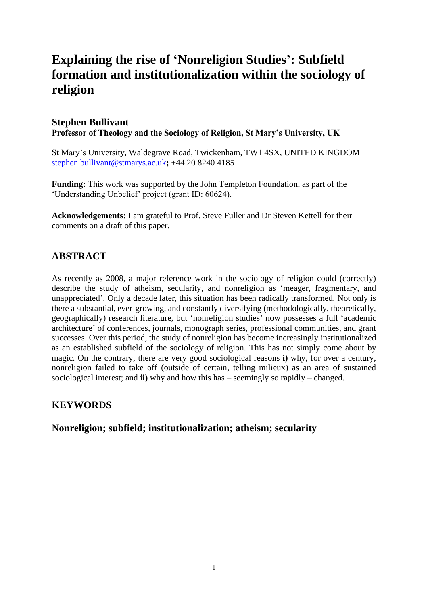# **Explaining the rise of 'Nonreligion Studies': Subfield formation and institutionalization within the sociology of religion**

## **Stephen Bullivant Professor of Theology and the Sociology of Religion, St Mary's University, UK**

St Mary's University, Waldegrave Road, Twickenham, TW1 4SX, UNITED KINGDOM [stephen.bullivant@stmarys.ac.uk](mailto:stephen.bullivant@stmarys.ac.uk)**;** +44 20 8240 4185

**Funding:** This work was supported by the John Templeton Foundation, as part of the 'Understanding Unbelief' project (grant ID: 60624).

**Acknowledgements:** I am grateful to Prof. Steve Fuller and Dr Steven Kettell for their comments on a draft of this paper.

# **ABSTRACT**

As recently as 2008, a major reference work in the sociology of religion could (correctly) describe the study of atheism, secularity, and nonreligion as 'meager, fragmentary, and unappreciated'. Only a decade later, this situation has been radically transformed. Not only is there a substantial, ever-growing, and constantly diversifying (methodologically, theoretically, geographically) research literature, but 'nonreligion studies' now possesses a full 'academic architecture' of conferences, journals, monograph series, professional communities, and grant successes. Over this period, the study of nonreligion has become increasingly institutionalized as an established subfield of the sociology of religion. This has not simply come about by magic. On the contrary, there are very good sociological reasons **i)** why, for over a century, nonreligion failed to take off (outside of certain, telling milieux) as an area of sustained sociological interest; and **ii)** why and how this has – seemingly so rapidly – changed.

## **KEYWORDS**

## **Nonreligion; subfield; institutionalization; atheism; secularity**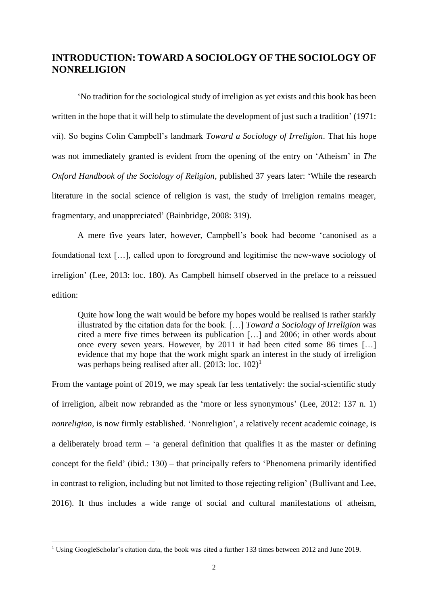## **INTRODUCTION: TOWARD A SOCIOLOGY OF THE SOCIOLOGY OF NONRELIGION**

'No tradition for the sociological study of irreligion as yet exists and this book has been written in the hope that it will help to stimulate the development of just such a tradition' (1971: vii). So begins Colin Campbell's landmark *Toward a Sociology of Irreligion*. That his hope was not immediately granted is evident from the opening of the entry on 'Atheism' in *The Oxford Handbook of the Sociology of Religion*, published 37 years later: 'While the research literature in the social science of religion is vast, the study of irreligion remains meager, fragmentary, and unappreciated' (Bainbridge, 2008: 319).

A mere five years later, however, Campbell's book had become 'canonised as a foundational text […], called upon to foreground and legitimise the new-wave sociology of irreligion' (Lee, 2013: loc. 180). As Campbell himself observed in the preface to a reissued edition:

Quite how long the wait would be before my hopes would be realised is rather starkly illustrated by the citation data for the book. […] *Toward a Sociology of Irreligion* was cited a mere five times between its publication […] and 2006; in other words about once every seven years. However, by 2011 it had been cited some 86 times […] evidence that my hope that the work might spark an interest in the study of irreligion was perhaps being realised after all.  $(2013:$  loc.  $102)^1$ 

From the vantage point of 2019, we may speak far less tentatively: the social-scientific study of irreligion, albeit now rebranded as the 'more or less synonymous' (Lee, 2012: 137 n. 1) *nonreligion*, is now firmly established. 'Nonreligion', a relatively recent academic coinage, is a deliberately broad term – 'a general definition that qualifies it as the master or defining concept for the field' (ibid.: 130) – that principally refers to 'Phenomena primarily identified in contrast to religion, including but not limited to those rejecting religion' (Bullivant and Lee, 2016). It thus includes a wide range of social and cultural manifestations of atheism,

<sup>&</sup>lt;sup>1</sup> Using GoogleScholar's citation data, the book was cited a further 133 times between 2012 and June 2019.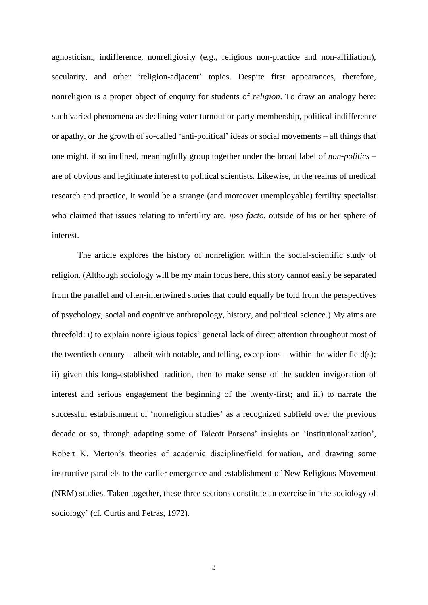agnosticism, indifference, nonreligiosity (e.g., religious non-practice and non-affiliation), secularity, and other 'religion-adjacent' topics. Despite first appearances, therefore, nonreligion is a proper object of enquiry for students of *religion*. To draw an analogy here: such varied phenomena as declining voter turnout or party membership, political indifference or apathy, or the growth of so-called 'anti-political' ideas or social movements – all things that one might, if so inclined, meaningfully group together under the broad label of *non-politics* – are of obvious and legitimate interest to political scientists. Likewise, in the realms of medical research and practice, it would be a strange (and moreover unemployable) fertility specialist who claimed that issues relating to infertility are, *ipso facto*, outside of his or her sphere of interest.

The article explores the history of nonreligion within the social-scientific study of religion. (Although sociology will be my main focus here, this story cannot easily be separated from the parallel and often-intertwined stories that could equally be told from the perspectives of psychology, social and cognitive anthropology, history, and political science.) My aims are threefold: i) to explain nonreligious topics' general lack of direct attention throughout most of the twentieth century – albeit with notable, and telling, exceptions – within the wider field(s); ii) given this long-established tradition, then to make sense of the sudden invigoration of interest and serious engagement the beginning of the twenty-first; and iii) to narrate the successful establishment of 'nonreligion studies' as a recognized subfield over the previous decade or so, through adapting some of Talcott Parsons' insights on 'institutionalization', Robert K. Merton's theories of academic discipline/field formation, and drawing some instructive parallels to the earlier emergence and establishment of New Religious Movement (NRM) studies. Taken together, these three sections constitute an exercise in 'the sociology of sociology' (cf. Curtis and Petras, 1972).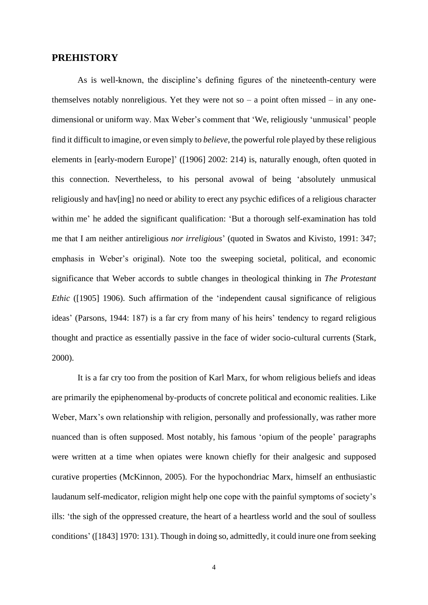#### **PREHISTORY**

As is well-known, the discipline's defining figures of the nineteenth-century were themselves notably nonreligious. Yet they were not so – a point often missed – in any onedimensional or uniform way. Max Weber's comment that 'We, religiously 'unmusical' people find it difficult to imagine, or even simply to *believe*, the powerful role played by these religious elements in [early-modern Europe]' ([1906] 2002: 214) is, naturally enough, often quoted in this connection. Nevertheless, to his personal avowal of being 'absolutely unmusical religiously and hav[ing] no need or ability to erect any psychic edifices of a religious character within me' he added the significant qualification: 'But a thorough self-examination has told me that I am neither antireligious *nor irreligious*' (quoted in Swatos and Kivisto, 1991: 347; emphasis in Weber's original). Note too the sweeping societal, political, and economic significance that Weber accords to subtle changes in theological thinking in *The Protestant Ethic* ([1905] 1906). Such affirmation of the 'independent causal significance of religious ideas' (Parsons, 1944: 187) is a far cry from many of his heirs' tendency to regard religious thought and practice as essentially passive in the face of wider socio-cultural currents (Stark, 2000).

It is a far cry too from the position of Karl Marx, for whom religious beliefs and ideas are primarily the epiphenomenal by-products of concrete political and economic realities. Like Weber, Marx's own relationship with religion, personally and professionally, was rather more nuanced than is often supposed. Most notably, his famous 'opium of the people' paragraphs were written at a time when opiates were known chiefly for their analgesic and supposed curative properties (McKinnon, 2005). For the hypochondriac Marx, himself an enthusiastic laudanum self-medicator, religion might help one cope with the painful symptoms of society's ills: 'the sigh of the oppressed creature, the heart of a heartless world and the soul of soulless conditions' ([1843] 1970: 131). Though in doing so, admittedly, it could inure one from seeking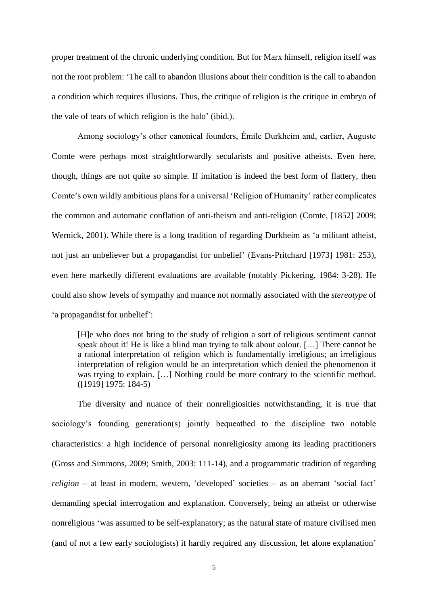proper treatment of the chronic underlying condition. But for Marx himself, religion itself was not the root problem: 'The call to abandon illusions about their condition is the call to abandon a condition which requires illusions. Thus, the critique of religion is the critique in embryo of the vale of tears of which religion is the halo' (ibid.).

Among sociology's other canonical founders, Émile Durkheim and, earlier, Auguste Comte were perhaps most straightforwardly secularists and positive atheists. Even here, though, things are not quite so simple. If imitation is indeed the best form of flattery, then Comte's own wildly ambitious plans for a universal 'Religion of Humanity' rather complicates the common and automatic conflation of anti-theism and anti-religion (Comte, [1852] 2009; Wernick, 2001). While there is a long tradition of regarding Durkheim as 'a militant atheist, not just an unbeliever but a propagandist for unbelief' (Evans-Pritchard [1973] 1981: 253), even here markedly different evaluations are available (notably Pickering, 1984: 3-28). He could also show levels of sympathy and nuance not normally associated with the *stereotype* of 'a propagandist for unbelief':

[H]e who does not bring to the study of religion a sort of religious sentiment cannot speak about it! He is like a blind man trying to talk about colour. […] There cannot be a rational interpretation of religion which is fundamentally irreligious; an irreligious interpretation of religion would be an interpretation which denied the phenomenon it was trying to explain. [...] Nothing could be more contrary to the scientific method. ([1919] 1975: 184-5)

The diversity and nuance of their nonreligiosities notwithstanding, it is true that sociology's founding generation(s) jointly bequeathed to the discipline two notable characteristics: a high incidence of personal nonreligiosity among its leading practitioners (Gross and Simmons, 2009; Smith, 2003: 111-14), and a programmatic tradition of regarding *religion* – at least in modern, western, 'developed' societies – as an aberrant 'social fact' demanding special interrogation and explanation. Conversely, being an atheist or otherwise nonreligious 'was assumed to be self-explanatory; as the natural state of mature civilised men (and of not a few early sociologists) it hardly required any discussion, let alone explanation'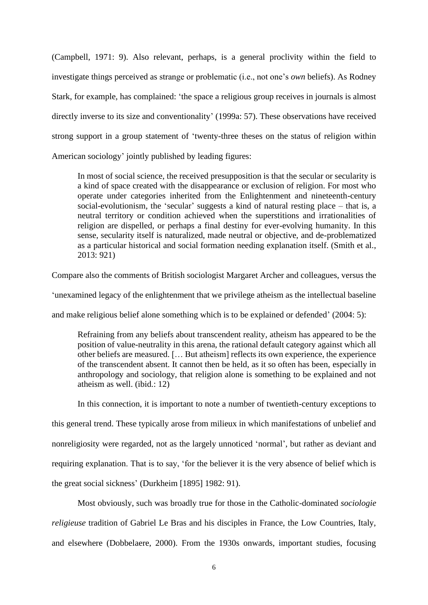(Campbell, 1971: 9). Also relevant, perhaps, is a general proclivity within the field to investigate things perceived as strange or problematic (i.e., not one's *own* beliefs). As Rodney Stark, for example, has complained: 'the space a religious group receives in journals is almost directly inverse to its size and conventionality' (1999a: 57). These observations have received strong support in a group statement of 'twenty-three theses on the status of religion within American sociology' jointly published by leading figures:

In most of social science, the received presupposition is that the secular or secularity is a kind of space created with the disappearance or exclusion of religion. For most who operate under categories inherited from the Enlightenment and nineteenth-century social-evolutionism, the 'secular' suggests a kind of natural resting place – that is, a neutral territory or condition achieved when the superstitions and irrationalities of religion are dispelled, or perhaps a final destiny for ever-evolving humanity. In this sense, secularity itself is naturalized, made neutral or objective, and de-problematized as a particular historical and social formation needing explanation itself. (Smith et al., 2013: 921)

Compare also the comments of British sociologist Margaret Archer and colleagues, versus the

'unexamined legacy of the enlightenment that we privilege atheism as the intellectual baseline

and make religious belief alone something which is to be explained or defended' (2004: 5):

Refraining from any beliefs about transcendent reality, atheism has appeared to be the position of value-neutrality in this arena, the rational default category against which all other beliefs are measured. [… But atheism] reflects its own experience, the experience of the transcendent absent. It cannot then be held, as it so often has been, especially in anthropology and sociology, that religion alone is something to be explained and not atheism as well. (ibid.: 12)

In this connection, it is important to note a number of twentieth-century exceptions to

this general trend. These typically arose from milieux in which manifestations of unbelief and nonreligiosity were regarded, not as the largely unnoticed 'normal', but rather as deviant and requiring explanation. That is to say, 'for the believer it is the very absence of belief which is the great social sickness' (Durkheim [1895] 1982: 91).

Most obviously, such was broadly true for those in the Catholic-dominated *sociologie religieuse* tradition of Gabriel Le Bras and his disciples in France, the Low Countries, Italy, and elsewhere (Dobbelaere, 2000). From the 1930s onwards, important studies, focusing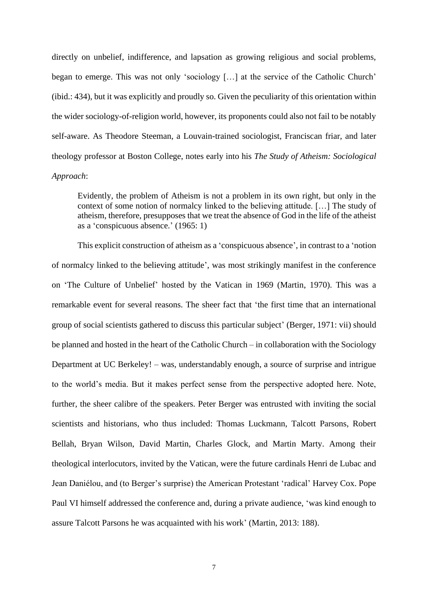directly on unbelief, indifference, and lapsation as growing religious and social problems, began to emerge. This was not only 'sociology […] at the service of the Catholic Church' (ibid.: 434), but it was explicitly and proudly so. Given the peculiarity of this orientation within the wider sociology-of-religion world, however, its proponents could also not fail to be notably self-aware. As Theodore Steeman, a Louvain-trained sociologist, Franciscan friar, and later theology professor at Boston College, notes early into his *The Study of Atheism: Sociological Approach*:

Evidently, the problem of Atheism is not a problem in its own right, but only in the context of some notion of normalcy linked to the believing attitude. […] The study of atheism, therefore, presupposes that we treat the absence of God in the life of the atheist as a 'conspicuous absence.' (1965: 1)

This explicit construction of atheism as a 'conspicuous absence', in contrast to a 'notion of normalcy linked to the believing attitude', was most strikingly manifest in the conference on 'The Culture of Unbelief' hosted by the Vatican in 1969 (Martin, 1970). This was a remarkable event for several reasons. The sheer fact that 'the first time that an international group of social scientists gathered to discuss this particular subject' (Berger, 1971: vii) should be planned and hosted in the heart of the Catholic Church – in collaboration with the Sociology Department at UC Berkeley! – was, understandably enough, a source of surprise and intrigue to the world's media. But it makes perfect sense from the perspective adopted here. Note, further, the sheer calibre of the speakers. Peter Berger was entrusted with inviting the social scientists and historians, who thus included: Thomas Luckmann, Talcott Parsons, Robert Bellah, Bryan Wilson, David Martin, Charles Glock, and Martin Marty. Among their theological interlocutors, invited by the Vatican, were the future cardinals Henri de Lubac and Jean Daniélou, and (to Berger's surprise) the American Protestant 'radical' Harvey Cox. Pope Paul VI himself addressed the conference and, during a private audience, 'was kind enough to assure Talcott Parsons he was acquainted with his work' (Martin, 2013: 188).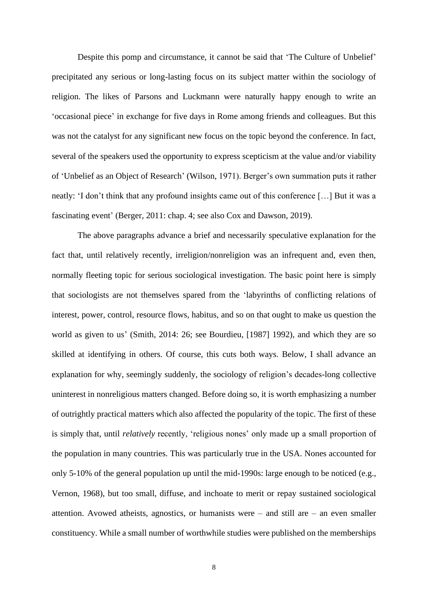Despite this pomp and circumstance, it cannot be said that 'The Culture of Unbelief' precipitated any serious or long-lasting focus on its subject matter within the sociology of religion. The likes of Parsons and Luckmann were naturally happy enough to write an 'occasional piece' in exchange for five days in Rome among friends and colleagues. But this was not the catalyst for any significant new focus on the topic beyond the conference. In fact, several of the speakers used the opportunity to express scepticism at the value and/or viability of 'Unbelief as an Object of Research' (Wilson, 1971). Berger's own summation puts it rather neatly: 'I don't think that any profound insights came out of this conference […] But it was a fascinating event' (Berger, 2011: chap. 4; see also Cox and Dawson, 2019).

The above paragraphs advance a brief and necessarily speculative explanation for the fact that, until relatively recently, irreligion/nonreligion was an infrequent and, even then, normally fleeting topic for serious sociological investigation. The basic point here is simply that sociologists are not themselves spared from the 'labyrinths of conflicting relations of interest, power, control, resource flows, habitus, and so on that ought to make us question the world as given to us' (Smith, 2014: 26; see Bourdieu, [1987] 1992), and which they are so skilled at identifying in others. Of course, this cuts both ways. Below, I shall advance an explanation for why, seemingly suddenly, the sociology of religion's decades-long collective uninterest in nonreligious matters changed. Before doing so, it is worth emphasizing a number of outrightly practical matters which also affected the popularity of the topic. The first of these is simply that, until *relatively* recently, 'religious nones' only made up a small proportion of the population in many countries. This was particularly true in the USA. Nones accounted for only 5-10% of the general population up until the mid-1990s: large enough to be noticed (e.g., Vernon, 1968), but too small, diffuse, and inchoate to merit or repay sustained sociological attention. Avowed atheists, agnostics, or humanists were – and still are – an even smaller constituency. While a small number of worthwhile studies were published on the memberships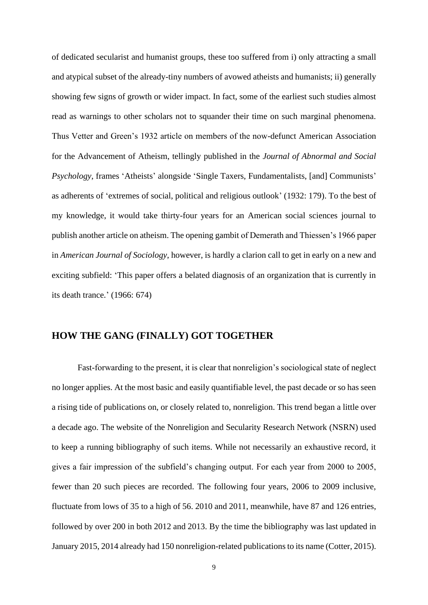of dedicated secularist and humanist groups, these too suffered from i) only attracting a small and atypical subset of the already-tiny numbers of avowed atheists and humanists; ii) generally showing few signs of growth or wider impact. In fact, some of the earliest such studies almost read as warnings to other scholars not to squander their time on such marginal phenomena. Thus Vetter and Green's 1932 article on members of the now-defunct American Association for the Advancement of Atheism, tellingly published in the *Journal of Abnormal and Social Psychology*, frames 'Atheists' alongside 'Single Taxers, Fundamentalists, [and] Communists' as adherents of 'extremes of social, political and religious outlook' (1932: 179). To the best of my knowledge, it would take thirty-four years for an American social sciences journal to publish another article on atheism. The opening gambit of Demerath and Thiessen's 1966 paper in *American Journal of Sociology*, however, is hardly a clarion call to get in early on a new and exciting subfield: 'This paper offers a belated diagnosis of an organization that is currently in its death trance.' (1966: 674)

#### **HOW THE GANG (FINALLY) GOT TOGETHER**

Fast-forwarding to the present, it is clear that nonreligion's sociological state of neglect no longer applies. At the most basic and easily quantifiable level, the past decade or so has seen a rising tide of publications on, or closely related to, nonreligion. This trend began a little over a decade ago. The website of the Nonreligion and Secularity Research Network (NSRN) used to keep a running bibliography of such items. While not necessarily an exhaustive record, it gives a fair impression of the subfield's changing output. For each year from 2000 to 2005, fewer than 20 such pieces are recorded. The following four years, 2006 to 2009 inclusive, fluctuate from lows of 35 to a high of 56. 2010 and 2011, meanwhile, have 87 and 126 entries, followed by over 200 in both 2012 and 2013. By the time the bibliography was last updated in January 2015, 2014 already had 150 nonreligion-related publications to its name (Cotter, 2015).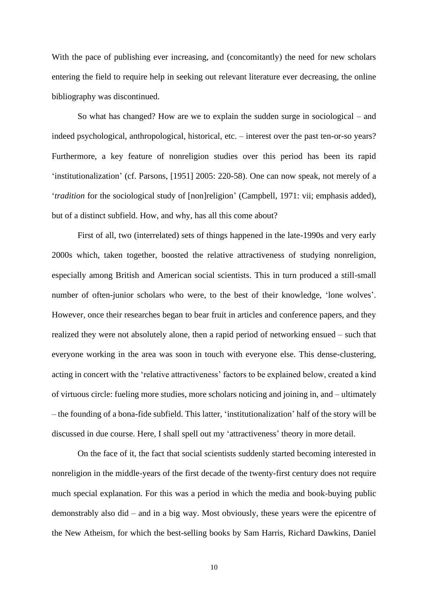With the pace of publishing ever increasing, and (concomitantly) the need for new scholars entering the field to require help in seeking out relevant literature ever decreasing, the online bibliography was discontinued.

So what has changed? How are we to explain the sudden surge in sociological – and indeed psychological, anthropological, historical, etc. – interest over the past ten-or-so years? Furthermore, a key feature of nonreligion studies over this period has been its rapid 'institutionalization' (cf. Parsons, [1951] 2005: 220-58). One can now speak, not merely of a '*tradition* for the sociological study of [non]religion' (Campbell, 1971: vii; emphasis added), but of a distinct subfield. How, and why, has all this come about?

First of all, two (interrelated) sets of things happened in the late-1990s and very early 2000s which, taken together, boosted the relative attractiveness of studying nonreligion, especially among British and American social scientists. This in turn produced a still-small number of often-junior scholars who were, to the best of their knowledge, 'lone wolves'. However, once their researches began to bear fruit in articles and conference papers, and they realized they were not absolutely alone, then a rapid period of networking ensued – such that everyone working in the area was soon in touch with everyone else. This dense-clustering, acting in concert with the 'relative attractiveness' factors to be explained below, created a kind of virtuous circle: fueling more studies, more scholars noticing and joining in, and – ultimately – the founding of a bona-fide subfield. This latter, 'institutionalization' half of the story will be discussed in due course. Here, I shall spell out my 'attractiveness' theory in more detail.

On the face of it, the fact that social scientists suddenly started becoming interested in nonreligion in the middle-years of the first decade of the twenty-first century does not require much special explanation. For this was a period in which the media and book-buying public demonstrably also did – and in a big way. Most obviously, these years were the epicentre of the New Atheism, for which the best-selling books by Sam Harris, Richard Dawkins, Daniel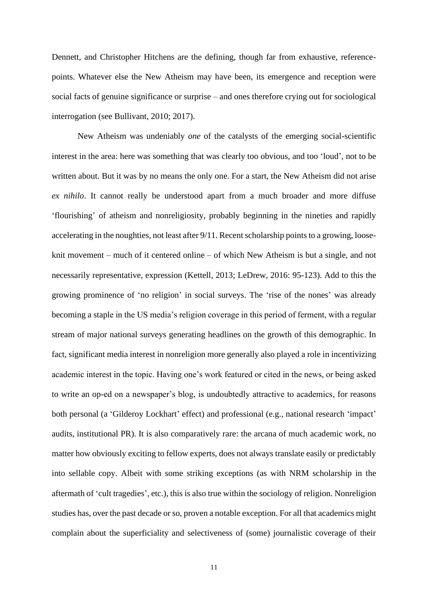Dennett, and Christopher Hitchens are the defining, though far from exhaustive, referencepoints. Whatever else the New Atheism may have been, its emergence and reception were social facts of genuine significance or surprise – and ones therefore crying out for sociological interrogation (see Bullivant, 2010; 2017).

New Atheism was undeniably *one* of the catalysts of the emerging social-scientific interest in the area: here was something that was clearly too obvious, and too 'loud', not to be written about. But it was by no means the only one. For a start, the New Atheism did not arise *ex nihilo*. It cannot really be understood apart from a much broader and more diffuse 'flourishing' of atheism and nonreligiosity, probably beginning in the nineties and rapidly accelerating in the noughties, not least after 9/11. Recent scholarship points to a growing, looseknit movement – much of it centered online – of which New Atheism is but a single, and not necessarily representative, expression (Kettell, 2013; LeDrew, 2016: 95-123). Add to this the growing prominence of 'no religion' in social surveys. The 'rise of the nones' was already becoming a staple in the US media's religion coverage in this period of ferment, with a regular stream of major national surveys generating headlines on the growth of this demographic. In fact, significant media interest in nonreligion more generally also played a role in incentivizing academic interest in the topic. Having one's work featured or cited in the news, or being asked to write an op-ed on a newspaper's blog, is undoubtedly attractive to academics, for reasons both personal (a 'Gilderoy Lockhart' effect) and professional (e.g., national research 'impact' audits, institutional PR). It is also comparatively rare: the arcana of much academic work, no matter how obviously exciting to fellow experts, does not always translate easily or predictably into sellable copy. Albeit with some striking exceptions (as with NRM scholarship in the aftermath of 'cult tragedies', etc.), this is also true within the sociology of religion. Nonreligion studies has, over the past decade or so, proven a notable exception. For all that academics might complain about the superficiality and selectiveness of (some) journalistic coverage of their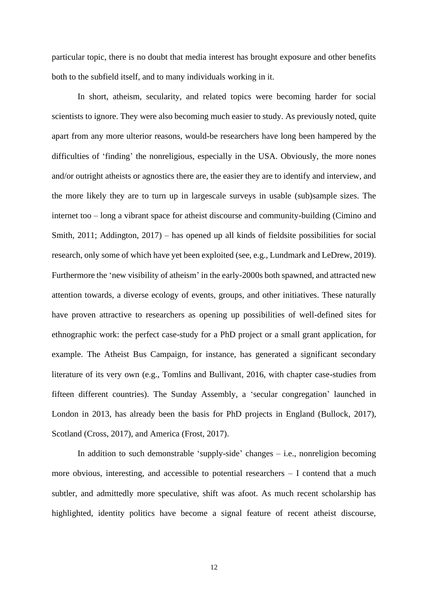particular topic, there is no doubt that media interest has brought exposure and other benefits both to the subfield itself, and to many individuals working in it.

In short, atheism, secularity, and related topics were becoming harder for social scientists to ignore. They were also becoming much easier to study. As previously noted, quite apart from any more ulterior reasons, would-be researchers have long been hampered by the difficulties of 'finding' the nonreligious, especially in the USA. Obviously, the more nones and/or outright atheists or agnostics there are, the easier they are to identify and interview, and the more likely they are to turn up in largescale surveys in usable (sub)sample sizes. The internet too – long a vibrant space for atheist discourse and community-building (Cimino and Smith, 2011; Addington, 2017) – has opened up all kinds of fieldsite possibilities for social research, only some of which have yet been exploited (see, e.g., Lundmark and LeDrew, 2019). Furthermore the 'new visibility of atheism' in the early-2000s both spawned, and attracted new attention towards, a diverse ecology of events, groups, and other initiatives. These naturally have proven attractive to researchers as opening up possibilities of well-defined sites for ethnographic work: the perfect case-study for a PhD project or a small grant application, for example. The Atheist Bus Campaign, for instance, has generated a significant secondary literature of its very own (e.g., Tomlins and Bullivant, 2016, with chapter case-studies from fifteen different countries). The Sunday Assembly, a 'secular congregation' launched in London in 2013, has already been the basis for PhD projects in England (Bullock, 2017), Scotland (Cross, 2017), and America (Frost, 2017).

In addition to such demonstrable 'supply-side' changes  $-$  i.e., nonreligion becoming more obvious, interesting, and accessible to potential researchers – I contend that a much subtler, and admittedly more speculative, shift was afoot. As much recent scholarship has highlighted, identity politics have become a signal feature of recent atheist discourse,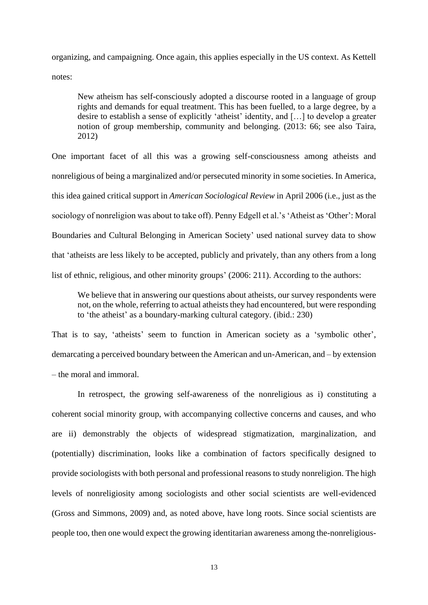organizing, and campaigning. Once again, this applies especially in the US context. As Kettell notes:

New atheism has self-consciously adopted a discourse rooted in a language of group rights and demands for equal treatment. This has been fuelled, to a large degree, by a desire to establish a sense of explicitly 'atheist' identity, and […] to develop a greater notion of group membership, community and belonging. (2013: 66; see also Taira, 2012)

One important facet of all this was a growing self-consciousness among atheists and nonreligious of being a marginalized and/or persecuted minority in some societies. In America, this idea gained critical support in *American Sociological Review* in April 2006 (i.e., just as the sociology of nonreligion was about to take off). Penny Edgell et al.'s 'Atheist as 'Other': Moral Boundaries and Cultural Belonging in American Society' used national survey data to show that 'atheists are less likely to be accepted, publicly and privately, than any others from a long list of ethnic, religious, and other minority groups' (2006: 211). According to the authors:

We believe that in answering our questions about atheists, our survey respondents were not, on the whole, referring to actual atheists they had encountered, but were responding to 'the atheist' as a boundary-marking cultural category. (ibid.: 230)

That is to say, 'atheists' seem to function in American society as a 'symbolic other', demarcating a perceived boundary between the American and un-American, and – by extension – the moral and immoral.

In retrospect, the growing self-awareness of the nonreligious as i) constituting a coherent social minority group, with accompanying collective concerns and causes, and who are ii) demonstrably the objects of widespread stigmatization, marginalization, and (potentially) discrimination, looks like a combination of factors specifically designed to provide sociologists with both personal and professional reasons to study nonreligion. The high levels of nonreligiosity among sociologists and other social scientists are well-evidenced (Gross and Simmons, 2009) and, as noted above, have long roots. Since social scientists are people too, then one would expect the growing identitarian awareness among the-nonreligious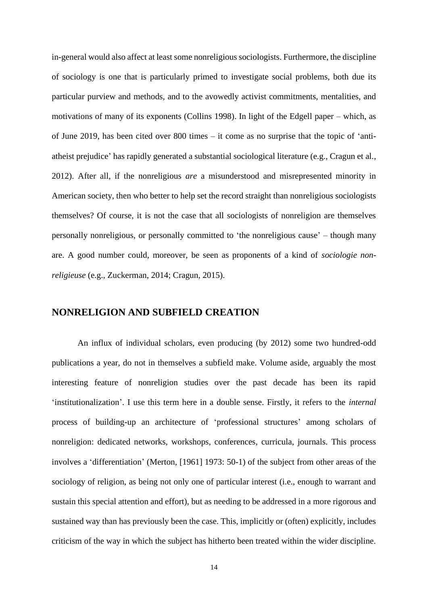in-general would also affect at least some nonreligious sociologists. Furthermore, the discipline of sociology is one that is particularly primed to investigate social problems, both due its particular purview and methods, and to the avowedly activist commitments, mentalities, and motivations of many of its exponents (Collins 1998). In light of the Edgell paper – which, as of June 2019, has been cited over 800 times – it come as no surprise that the topic of 'antiatheist prejudice' has rapidly generated a substantial sociological literature (e.g., Cragun et al., 2012). After all, if the nonreligious *are* a misunderstood and misrepresented minority in American society, then who better to help set the record straight than nonreligious sociologists themselves? Of course, it is not the case that all sociologists of nonreligion are themselves personally nonreligious, or personally committed to 'the nonreligious cause' – though many are. A good number could, moreover, be seen as proponents of a kind of *sociologie nonreligieuse* (e.g., Zuckerman, 2014; Cragun, 2015).

### **NONRELIGION AND SUBFIELD CREATION**

An influx of individual scholars, even producing (by 2012) some two hundred-odd publications a year, do not in themselves a subfield make. Volume aside, arguably the most interesting feature of nonreligion studies over the past decade has been its rapid 'institutionalization'. I use this term here in a double sense. Firstly, it refers to the *internal* process of building-up an architecture of 'professional structures' among scholars of nonreligion: dedicated networks, workshops, conferences, curricula, journals. This process involves a 'differentiation' (Merton, [1961] 1973: 50-1) of the subject from other areas of the sociology of religion, as being not only one of particular interest (i.e., enough to warrant and sustain this special attention and effort), but as needing to be addressed in a more rigorous and sustained way than has previously been the case. This, implicitly or (often) explicitly, includes criticism of the way in which the subject has hitherto been treated within the wider discipline.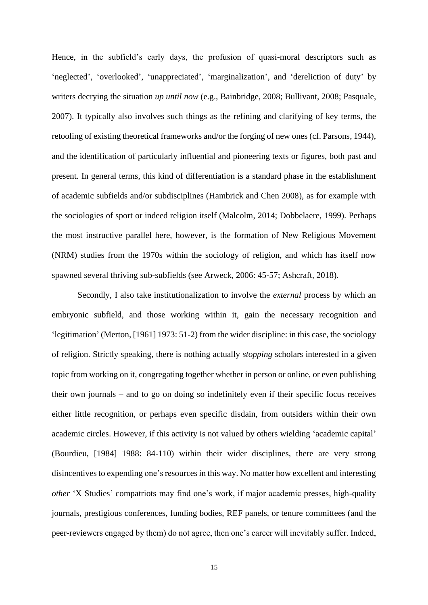Hence, in the subfield's early days, the profusion of quasi-moral descriptors such as 'neglected', 'overlooked', 'unappreciated', 'marginalization', and 'dereliction of duty' by writers decrying the situation *up until now* (e.g., Bainbridge, 2008; Bullivant, 2008; Pasquale, 2007). It typically also involves such things as the refining and clarifying of key terms, the retooling of existing theoretical frameworks and/or the forging of new ones (cf. Parsons, 1944), and the identification of particularly influential and pioneering texts or figures, both past and present. In general terms, this kind of differentiation is a standard phase in the establishment of academic subfields and/or subdisciplines (Hambrick and Chen 2008), as for example with the sociologies of sport or indeed religion itself (Malcolm, 2014; Dobbelaere, 1999). Perhaps the most instructive parallel here, however, is the formation of New Religious Movement (NRM) studies from the 1970s within the sociology of religion, and which has itself now spawned several thriving sub-subfields (see Arweck, 2006: 45-57; Ashcraft, 2018).

Secondly, I also take institutionalization to involve the *external* process by which an embryonic subfield, and those working within it, gain the necessary recognition and 'legitimation' (Merton, [1961] 1973: 51-2) from the wider discipline: in this case, the sociology of religion. Strictly speaking, there is nothing actually *stopping* scholars interested in a given topic from working on it, congregating together whether in person or online, or even publishing their own journals – and to go on doing so indefinitely even if their specific focus receives either little recognition, or perhaps even specific disdain, from outsiders within their own academic circles. However, if this activity is not valued by others wielding 'academic capital' (Bourdieu, [1984] 1988: 84-110) within their wider disciplines, there are very strong disincentives to expending one's resources in this way. No matter how excellent and interesting *other* 'X Studies' compatriots may find one's work, if major academic presses, high-quality journals, prestigious conferences, funding bodies, REF panels, or tenure committees (and the peer-reviewers engaged by them) do not agree, then one's career will inevitably suffer. Indeed,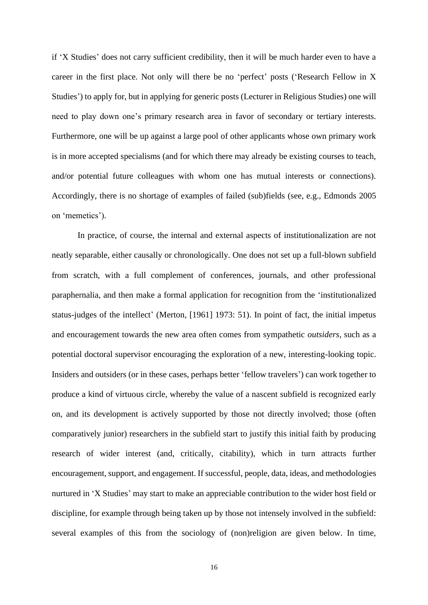if 'X Studies' does not carry sufficient credibility, then it will be much harder even to have a career in the first place. Not only will there be no 'perfect' posts ('Research Fellow in X Studies') to apply for, but in applying for generic posts (Lecturer in Religious Studies) one will need to play down one's primary research area in favor of secondary or tertiary interests. Furthermore, one will be up against a large pool of other applicants whose own primary work is in more accepted specialisms (and for which there may already be existing courses to teach, and/or potential future colleagues with whom one has mutual interests or connections). Accordingly, there is no shortage of examples of failed (sub)fields (see, e.g., Edmonds 2005 on 'memetics').

In practice, of course, the internal and external aspects of institutionalization are not neatly separable, either causally or chronologically. One does not set up a full-blown subfield from scratch, with a full complement of conferences, journals, and other professional paraphernalia, and then make a formal application for recognition from the 'institutionalized status-judges of the intellect' (Merton, [1961] 1973: 51). In point of fact, the initial impetus and encouragement towards the new area often comes from sympathetic *outsiders*, such as a potential doctoral supervisor encouraging the exploration of a new, interesting-looking topic. Insiders and outsiders (or in these cases, perhaps better 'fellow travelers') can work together to produce a kind of virtuous circle, whereby the value of a nascent subfield is recognized early on, and its development is actively supported by those not directly involved; those (often comparatively junior) researchers in the subfield start to justify this initial faith by producing research of wider interest (and, critically, citability), which in turn attracts further encouragement, support, and engagement. If successful, people, data, ideas, and methodologies nurtured in 'X Studies' may start to make an appreciable contribution to the wider host field or discipline, for example through being taken up by those not intensely involved in the subfield: several examples of this from the sociology of (non)religion are given below. In time,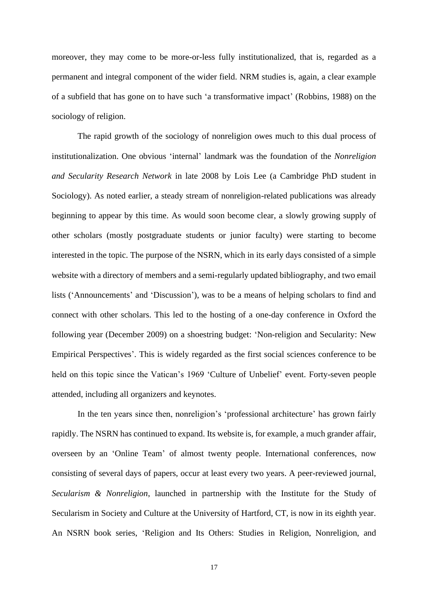moreover, they may come to be more-or-less fully institutionalized, that is, regarded as a permanent and integral component of the wider field. NRM studies is, again, a clear example of a subfield that has gone on to have such 'a transformative impact' (Robbins, 1988) on the sociology of religion.

The rapid growth of the sociology of nonreligion owes much to this dual process of institutionalization. One obvious 'internal' landmark was the foundation of the *Nonreligion and Secularity Research Network* in late 2008 by Lois Lee (a Cambridge PhD student in Sociology). As noted earlier, a steady stream of nonreligion-related publications was already beginning to appear by this time. As would soon become clear, a slowly growing supply of other scholars (mostly postgraduate students or junior faculty) were starting to become interested in the topic. The purpose of the NSRN, which in its early days consisted of a simple website with a directory of members and a semi-regularly updated bibliography, and two email lists ('Announcements' and 'Discussion'), was to be a means of helping scholars to find and connect with other scholars. This led to the hosting of a one-day conference in Oxford the following year (December 2009) on a shoestring budget: 'Non-religion and Secularity: New Empirical Perspectives'. This is widely regarded as the first social sciences conference to be held on this topic since the Vatican's 1969 'Culture of Unbelief' event. Forty-seven people attended, including all organizers and keynotes.

In the ten years since then, nonreligion's 'professional architecture' has grown fairly rapidly. The NSRN has continued to expand. Its website is, for example, a much grander affair, overseen by an 'Online Team' of almost twenty people. International conferences, now consisting of several days of papers, occur at least every two years. A peer-reviewed journal, *Secularism & Nonreligion*, launched in partnership with the Institute for the Study of Secularism in Society and Culture at the University of Hartford, CT, is now in its eighth year. An NSRN book series, 'Religion and Its Others: Studies in Religion, Nonreligion, and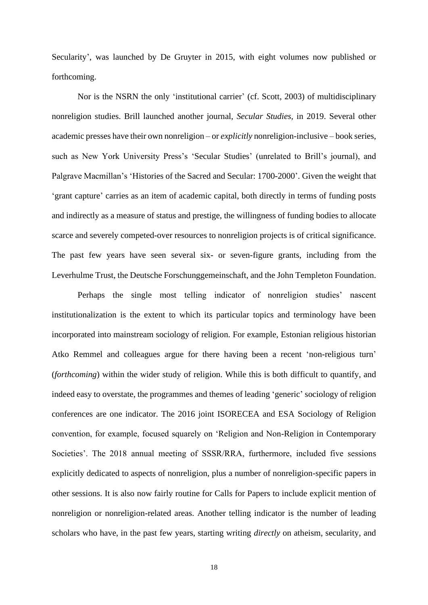Secularity', was launched by De Gruyter in 2015, with eight volumes now published or forthcoming.

Nor is the NSRN the only 'institutional carrier' (cf. Scott, 2003) of multidisciplinary nonreligion studies. Brill launched another journal, *Secular Studies,* in 2019. Several other academic presses have their own nonreligion – or *explicitly* nonreligion-inclusive – book series, such as New York University Press's 'Secular Studies' (unrelated to Brill's journal), and Palgrave Macmillan's 'Histories of the Sacred and Secular: 1700-2000'. Given the weight that 'grant capture' carries as an item of academic capital, both directly in terms of funding posts and indirectly as a measure of status and prestige, the willingness of funding bodies to allocate scarce and severely competed-over resources to nonreligion projects is of critical significance. The past few years have seen several six- or seven-figure grants, including from the Leverhulme Trust, the Deutsche Forschunggemeinschaft, and the John Templeton Foundation.

Perhaps the single most telling indicator of nonreligion studies' nascent institutionalization is the extent to which its particular topics and terminology have been incorporated into mainstream sociology of religion. For example, Estonian religious historian Atko Remmel and colleagues argue for there having been a recent 'non-religious turn' (*forthcoming*) within the wider study of religion. While this is both difficult to quantify, and indeed easy to overstate, the programmes and themes of leading 'generic' sociology of religion conferences are one indicator. The 2016 joint ISORECEA and ESA Sociology of Religion convention, for example, focused squarely on 'Religion and Non-Religion in Contemporary Societies'. The 2018 annual meeting of SSSR/RRA, furthermore, included five sessions explicitly dedicated to aspects of nonreligion, plus a number of nonreligion-specific papers in other sessions. It is also now fairly routine for Calls for Papers to include explicit mention of nonreligion or nonreligion-related areas. Another telling indicator is the number of leading scholars who have, in the past few years, starting writing *directly* on atheism, secularity, and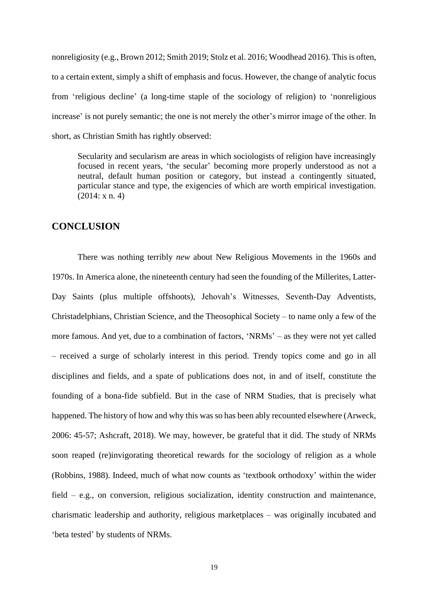nonreligiosity (e.g., Brown 2012; Smith 2019; Stolz et al. 2016; Woodhead 2016). This is often, to a certain extent, simply a shift of emphasis and focus. However, the change of analytic focus from 'religious decline' (a long-time staple of the sociology of religion) to 'nonreligious increase' is not purely semantic; the one is not merely the other's mirror image of the other. In short, as Christian Smith has rightly observed:

Secularity and secularism are areas in which sociologists of religion have increasingly focused in recent years, 'the secular' becoming more properly understood as not a neutral, default human position or category, but instead a contingently situated, particular stance and type, the exigencies of which are worth empirical investigation. (2014: x n. 4)

## **CONCLUSION**

There was nothing terribly *new* about New Religious Movements in the 1960s and 1970s. In America alone, the nineteenth century had seen the founding of the Millerites, Latter-Day Saints (plus multiple offshoots), Jehovah's Witnesses, Seventh-Day Adventists, Christadelphians, Christian Science, and the Theosophical Society – to name only a few of the more famous. And yet, due to a combination of factors, 'NRMs' – as they were not yet called – received a surge of scholarly interest in this period. Trendy topics come and go in all disciplines and fields, and a spate of publications does not, in and of itself, constitute the founding of a bona-fide subfield. But in the case of NRM Studies, that is precisely what happened. The history of how and why this was so has been ably recounted elsewhere (Arweck, 2006: 45-57; Ashcraft, 2018). We may, however, be grateful that it did. The study of NRMs soon reaped (re)invigorating theoretical rewards for the sociology of religion as a whole (Robbins, 1988). Indeed, much of what now counts as 'textbook orthodoxy' within the wider field – e.g., on conversion, religious socialization, identity construction and maintenance, charismatic leadership and authority, religious marketplaces – was originally incubated and 'beta tested' by students of NRMs.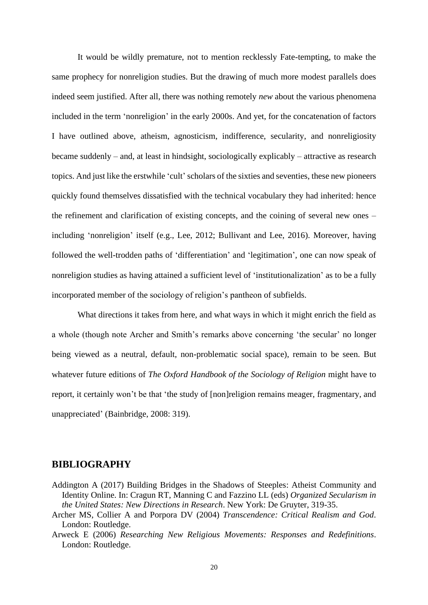It would be wildly premature, not to mention recklessly Fate-tempting, to make the same prophecy for nonreligion studies. But the drawing of much more modest parallels does indeed seem justified. After all, there was nothing remotely *new* about the various phenomena included in the term 'nonreligion' in the early 2000s. And yet, for the concatenation of factors I have outlined above, atheism, agnosticism, indifference, secularity, and nonreligiosity became suddenly – and, at least in hindsight, sociologically explicably – attractive as research topics. And just like the erstwhile 'cult'scholars of the sixties and seventies, these new pioneers quickly found themselves dissatisfied with the technical vocabulary they had inherited: hence the refinement and clarification of existing concepts, and the coining of several new ones – including 'nonreligion' itself (e.g., Lee, 2012; Bullivant and Lee, 2016). Moreover, having followed the well-trodden paths of 'differentiation' and 'legitimation', one can now speak of nonreligion studies as having attained a sufficient level of 'institutionalization' as to be a fully incorporated member of the sociology of religion's pantheon of subfields.

What directions it takes from here, and what ways in which it might enrich the field as a whole (though note Archer and Smith's remarks above concerning 'the secular' no longer being viewed as a neutral, default, non-problematic social space), remain to be seen. But whatever future editions of *The Oxford Handbook of the Sociology of Religion* might have to report, it certainly won't be that 'the study of [non]religion remains meager, fragmentary, and unappreciated' (Bainbridge, 2008: 319).

#### **BIBLIOGRAPHY**

- Addington A (2017) Building Bridges in the Shadows of Steeples: Atheist Community and Identity Online. In: Cragun RT, Manning C and Fazzino LL (eds) *Organized Secularism in the United States: New Directions in Research*. New York: De Gruyter, 319-35.
- Archer MS, Collier A and Porpora DV (2004) *Transcendence: Critical Realism and God*. London: Routledge.
- Arweck E (2006) *Researching New Religious Movements: Responses and Redefinitions*. London: Routledge.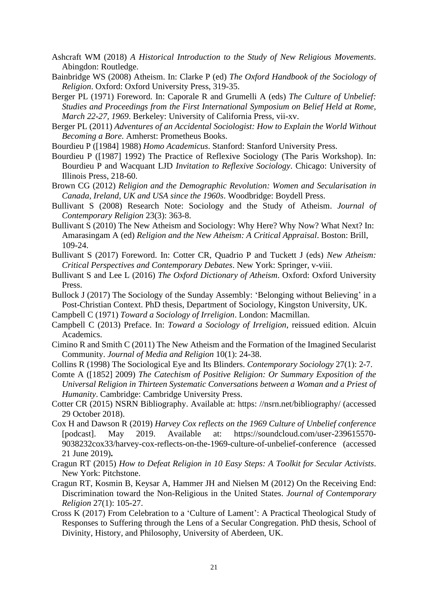- Ashcraft WM (2018) *A Historical Introduction to the Study of New Religious Movements*. Abingdon: Routledge.
- Bainbridge WS (2008) Atheism. In: Clarke P (ed) *The Oxford Handbook of the Sociology of Religion*. Oxford: Oxford University Press, 319-35.
- Berger PL (1971) Foreword. In: Caporale R and Grumelli A (eds) *The Culture of Unbelief: Studies and Proceedings from the First International Symposium on Belief Held at Rome, March 22-27, 1969*. Berkeley: University of California Press, vii-xv.
- Berger PL (2011) *Adventures of an Accidental Sociologist: How to Explain the World Without Becoming a Bore*. Amherst: Prometheus Books.
- Bourdieu P ([1984] 1988) *Homo Academicus*. Stanford: Stanford University Press.
- Bourdieu P ([1987] 1992) The Practice of Reflexive Sociology (The Paris Workshop). In: Bourdieu P and Wacquant LJD *Invitation to Reflexive Sociology*. Chicago: University of Illinois Press, 218-60.
- Brown CG (2012) *Religion and the Demographic Revolution: Women and Secularisation in Canada, Ireland, UK and USA since the 1960s*. Woodbridge: Boydell Press.
- Bullivant S (2008) Research Note: Sociology and the Study of Atheism. *Journal of Contemporary Religion* 23(3): 363-8.
- Bullivant S (2010) The New Atheism and Sociology: Why Here? Why Now? What Next? In: Amarasingam A (ed) *Religion and the New Atheism: A Critical Appraisal*. Boston: Brill, 109-24.
- Bullivant S (2017) Foreword. In: Cotter CR, Quadrio P and Tuckett J (eds) *New Atheism: Critical Perspectives and Contemporary Debates*. New York: Springer, v-viii.
- Bullivant S and Lee L (2016) *The Oxford Dictionary of Atheism*. Oxford: Oxford University Press.
- Bullock J (2017) The Sociology of the Sunday Assembly: 'Belonging without Believing' in a Post-Christian Context. PhD thesis, Department of Sociology, Kingston University, UK.
- Campbell C (1971) *Toward a Sociology of Irreligion*. London: Macmillan.
- Campbell C (2013) Preface. In: *Toward a Sociology of Irreligion*, reissued edition. Alcuin Academics.
- Cimino R and Smith C (2011) The New Atheism and the Formation of the Imagined Secularist Community. *Journal of Media and Religion* 10(1): 24-38.
- Collins R (1998) The Sociological Eye and Its Blinders. *Contemporary Sociology* 27(1): 2-7.
- Comte A ([1852] 2009) *The Catechism of Positive Religion: Or Summary Exposition of the Universal Religion in Thirteen Systematic Conversations between a Woman and a Priest of Humanity*. Cambridge: Cambridge University Press.
- Cotter CR (2015) NSRN Bibliography. Available at: https: //nsrn.net/bibliography/ (accessed 29 October 2018).
- Cox H and Dawson R (2019) *Harvey Cox reflects on the 1969 Culture of Unbelief conference* [podcast]. May 2019. Available at: https://soundcloud.com/user-239615570- 9038232cox33/harvey-cox-reflects-on-the-1969-culture-of-unbelief-conference (accessed 21 June 2019)**.**
- Cragun RT (2015) *How to Defeat Religion in 10 Easy Steps: A Toolkit for Secular Activists*. New York: Pitchstone.
- Cragun RT, Kosmin B, Keysar A, Hammer JH and Nielsen M (2012) On the Receiving End: Discrimination toward the Non-Religious in the United States. *Journal of Contemporary Religion* 27(1): 105-27.
- Cross K (2017) From Celebration to a 'Culture of Lament': A Practical Theological Study of Responses to Suffering through the Lens of a Secular Congregation. PhD thesis, School of Divinity, History, and Philosophy, University of Aberdeen, UK.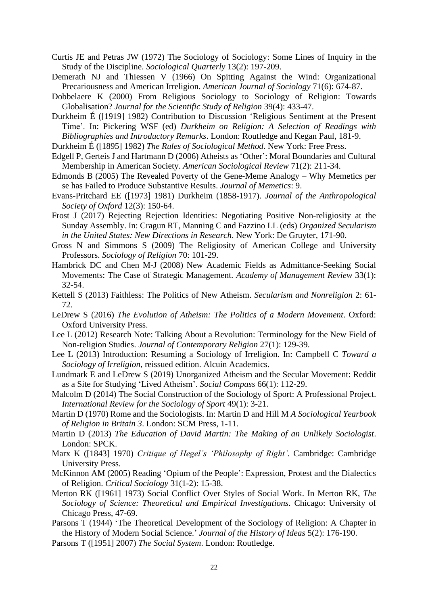- Curtis JE and Petras JW (1972) The Sociology of Sociology: Some Lines of Inquiry in the Study of the Discipline. *Sociological Quarterly* 13(2): 197-209.
- Demerath NJ and Thiessen V (1966) On Spitting Against the Wind: Organizational Precariousness and American Irreligion. *American Journal of Sociology* 71(6): 674-87.
- Dobbelaere K (2000) From Religious Sociology to Sociology of Religion: Towards Globalisation? *Journal for the Scientific Study of Religion* 39(4): 433-47.
- Durkheim É ([1919] 1982) Contribution to Discussion 'Religious Sentiment at the Present Time'. In: Pickering WSF (ed) *Durkheim on Religion: A Selection of Readings with Bibliographies and Introductory Remarks*. London: Routledge and Kegan Paul, 181-9.
- Durkheim É ([1895] 1982) *The Rules of Sociological Method*. New York: Free Press.
- Edgell P, Gerteis J and Hartmann D (2006) Atheists as 'Other': Moral Boundaries and Cultural Membership in American Society. *American Sociological Review* 71(2): 211-34.
- Edmonds B (2005) The Revealed Poverty of the Gene-Meme Analogy Why Memetics per se has Failed to Produce Substantive Results. *Journal of Memetics*: 9.
- Evans-Pritchard EE ([1973] 1981) Durkheim (1858-1917). *Journal of the Anthropological Society of Oxford* 12(3): 150-64.
- Frost J (2017) Rejecting Rejection Identities: Negotiating Positive Non-religiosity at the Sunday Assembly. In: Cragun RT, Manning C and Fazzino LL (eds) *Organized Secularism in the United States: New Directions in Research*. New York: De Gruyter, 171-90.
- Gross N and Simmons S (2009) The Religiosity of American College and University Professors. *Sociology of Religion* 70: 101-29.
- Hambrick DC and Chen M-J (2008) New Academic Fields as Admittance-Seeking Social Movements: The Case of Strategic Management. *Academy of Management Review* 33(1): 32-54.
- Kettell S (2013) Faithless: The Politics of New Atheism. *Secularism and Nonreligion* 2: 61- 72.
- LeDrew S (2016) *The Evolution of Atheism: The Politics of a Modern Movement*. Oxford: Oxford University Press.
- Lee L (2012) Research Note: Talking About a Revolution: Terminology for the New Field of Non-religion Studies. *Journal of Contemporary Religion* 27(1): 129-39.
- Lee L (2013) Introduction: Resuming a Sociology of Irreligion. In: Campbell C *Toward a Sociology of Irreligion*, reissued edition. Alcuin Academics.
- Lundmark E and LeDrew S (2019) Unorganized Atheism and the Secular Movement: Reddit as a Site for Studying 'Lived Atheism'. *Social Compass* 66(1): 112-29.
- Malcolm D (2014) The Social Construction of the Sociology of Sport: A Professional Project. *International Review for the Sociology of Sport* 49(1): 3-21.
- Martin D (1970) Rome and the Sociologists. In: Martin D and Hill M *A Sociological Yearbook of Religion in Britain 3*. London: SCM Press, 1-11.
- Martin D (2013) *The Education of David Martin: The Making of an Unlikely Sociologist*. London: SPCK.
- Marx K ([1843] 1970) *Critique of Hegel's 'Philosophy of Right'*. Cambridge: Cambridge University Press.
- McKinnon AM (2005) Reading 'Opium of the People': Expression, Protest and the Dialectics of Religion. *Critical Sociology* 31(1-2): 15-38.
- Merton RK ([1961] 1973) Social Conflict Over Styles of Social Work. In Merton RK, *The Sociology of Science: Theoretical and Empirical Investigations*. Chicago: University of Chicago Press, 47-69.
- Parsons T (1944) 'The Theoretical Development of the Sociology of Religion: A Chapter in the History of Modern Social Science.' *Journal of the History of Ideas* 5(2): 176-190.
- Parsons T ([1951] 2007) *The Social System*. London: Routledge.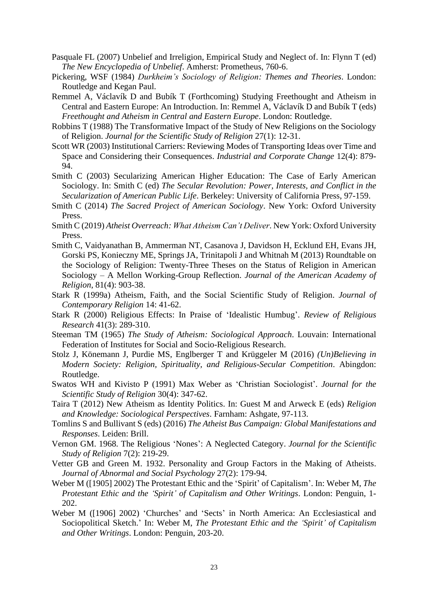- Pasquale FL (2007) Unbelief and Irreligion, Empirical Study and Neglect of. In: Flynn T (ed) *The New Encyclopedia of Unbelief*. Amherst: Prometheus, 760-6.
- Pickering, WSF (1984) *Durkheim's Sociology of Religion: Themes and Theories*. London: Routledge and Kegan Paul.
- Remmel A, Václavík D and Bubík T (Forthcoming) Studying Freethought and Atheism in Central and Eastern Europe: An Introduction. In: Remmel A, Václavík D and Bubík T (eds) *Freethought and Atheism in Central and Eastern Europe*. London: Routledge.
- Robbins T (1988) The Transformative Impact of the Study of New Religions on the Sociology of Religion. *Journal for the Scientific Study of Religion* 27(1): 12-31.
- Scott WR (2003) Institutional Carriers: Reviewing Modes of Transporting Ideas over Time and Space and Considering their Consequences. *Industrial and Corporate Change* 12(4): 879- 94.
- Smith C (2003) Secularizing American Higher Education: The Case of Early American Sociology. In: Smith C (ed) *The Secular Revolution: Power, Interests, and Conflict in the Secularization of American Public Life*. Berkeley: University of California Press, 97-159.
- Smith C (2014) *The Sacred Project of American Sociology*. New York: Oxford University Press.
- Smith C (2019) *Atheist Overreach: What Atheism Can't Deliver*. New York: Oxford University Press.
- Smith C, Vaidyanathan B, Ammerman NT, Casanova J, Davidson H, Ecklund EH, Evans JH, Gorski PS, Konieczny ME, Springs JA, Trinitapoli J and Whitnah M (2013) Roundtable on the Sociology of Religion: Twenty-Three Theses on the Status of Religion in American Sociology – A Mellon Working-Group Reflection. *Journal of the American Academy of Religion*, 81(4): 903-38.
- Stark R (1999a) Atheism, Faith, and the Social Scientific Study of Religion. *Journal of Contemporary Religion* 14: 41-62.
- Stark R (2000) Religious Effects: In Praise of 'Idealistic Humbug'. *Review of Religious Research* 41(3): 289-310.
- Steeman TM (1965) *The Study of Atheism: Sociological Approach*. Louvain: International Federation of Institutes for Social and Socio-Religious Research.
- Stolz J, Könemann J, Purdie MS, Englberger T and Krüggeler M (2016) *(Un)Believing in Modern Society: Religion, Spirituality, and Religious-Secular Competition*. Abingdon: Routledge.
- Swatos WH and Kivisto P (1991) Max Weber as 'Christian Sociologist'. *Journal for the Scientific Study of Religion* 30(4): 347-62.
- Taira T (2012) New Atheism as Identity Politics. In: Guest M and Arweck E (eds) *Religion and Knowledge: Sociological Perspectives*. Farnham: Ashgate, 97-113.
- Tomlins S and Bullivant S (eds) (2016) *The Atheist Bus Campaign: Global Manifestations and Responses*. Leiden: Brill.
- Vernon GM. 1968. The Religious 'Nones': A Neglected Category. *Journal for the Scientific Study of Religion* 7(2): 219-29.
- Vetter GB and Green M. 1932. Personality and Group Factors in the Making of Atheists. *Journal of Abnormal and Social Psychology* 27(2): 179-94.
- Weber M ([1905] 2002) The Protestant Ethic and the 'Spirit' of Capitalism'. In: Weber M, *The Protestant Ethic and the 'Spirit' of Capitalism and Other Writings*. London: Penguin, 1- 202.
- Weber M ([1906] 2002) 'Churches' and 'Sects' in North America: An Ecclesiastical and Sociopolitical Sketch.' In: Weber M, *The Protestant Ethic and the 'Spirit' of Capitalism and Other Writings*. London: Penguin, 203-20.